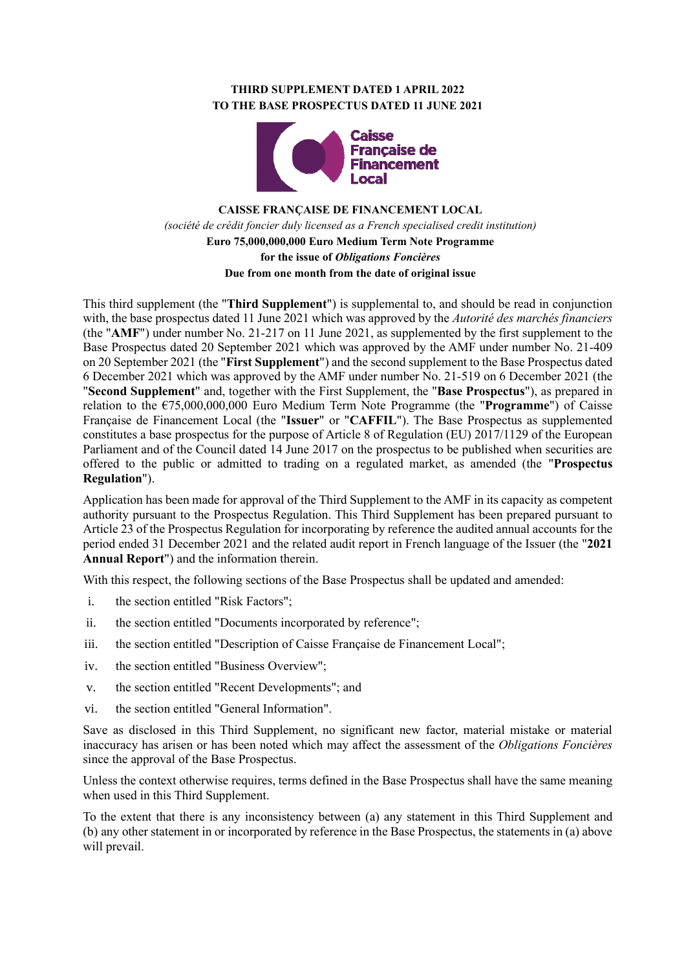# **THIRD SUPPLEMENT DATED 1 APRIL 2022 TO THE BASE PROSPECTUS DATED 11 JUNE 2021**



# **CAISSE FRANÇAISE DE FINANCEMENT LOCAL** *(société de crédit foncier duly licensed as a French specialised credit institution)* **Euro 75,000,000,000 Euro Medium Term Note Programme for the issue of** *Obligations Foncières* **Due from one month from the date of original issue**

This third supplement (the "**Third Supplement**") is supplemental to, and should be read in conjunction with, the base prospectus dated 11 June 2021 which was approved by the *Autorité des marchés financiers*  (the "**AMF**") under number No. 21-217 on 11 June 2021, as supplemented by the first supplement to the Base Prospectus dated 20 September 2021 which was approved by the AMF under number No. 21-409 on 20 September 2021 (the "**First Supplement**") and the second supplement to the Base Prospectus dated 6 December 2021 which was approved by the AMF under number No. 21-519 on 6 December 2021 (the "**Second Supplement**" and, together with the First Supplement, the "**Base Prospectus**"), as prepared in relation to the €75,000,000,000 Euro Medium Term Note Programme (the "**Programme**") of Caisse Française de Financement Local (the "**Issuer**" or "**CAFFIL**"). The Base Prospectus as supplemented constitutes a base prospectus for the purpose of Article 8 of Regulation (EU) 2017/1129 of the European Parliament and of the Council dated 14 June 2017 on the prospectus to be published when securities are offered to the public or admitted to trading on a regulated market, as amended (the "**Prospectus Regulation**").

Application has been made for approval of the Third Supplement to the AMF in its capacity as competent authority pursuant to the Prospectus Regulation. This Third Supplement has been prepared pursuant to Article 23 of the Prospectus Regulation for incorporating by reference the audited annual accounts for the period ended 31 December 2021 and the related audit report in French language of the Issuer (the "**2021 Annual Report**") and the information therein.

With this respect, the following sections of the Base Prospectus shall be updated and amended:

- i. the section entitled "Risk Factors";
- ii. the section entitled "Documents incorporated by reference";
- iii. the section entitled "Description of Caisse Française de Financement Local";
- iv. the section entitled "Business Overview";
- v. the section entitled "Recent Developments"; and
- vi. the section entitled "General Information".

Save as disclosed in this Third Supplement, no significant new factor, material mistake or material inaccuracy has arisen or has been noted which may affect the assessment of the *Obligations Foncières* since the approval of the Base Prospectus.

Unless the context otherwise requires, terms defined in the Base Prospectus shall have the same meaning when used in this Third Supplement.

To the extent that there is any inconsistency between (a) any statement in this Third Supplement and (b) any other statement in or incorporated by reference in the Base Prospectus, the statements in (a) above will prevail.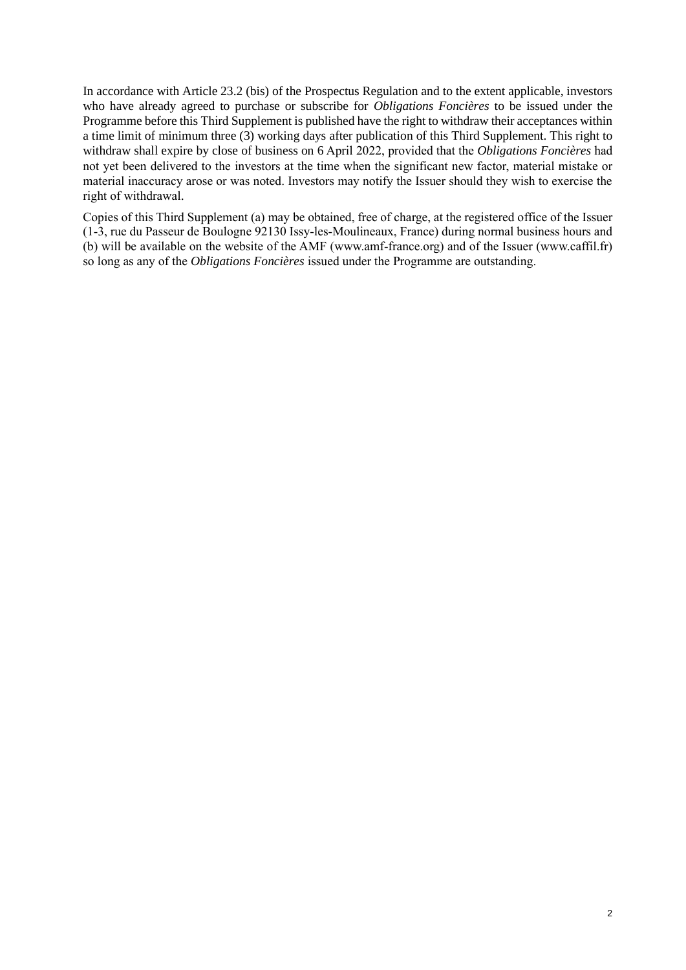In accordance with Article 23.2 (bis) of the Prospectus Regulation and to the extent applicable, investors who have already agreed to purchase or subscribe for *Obligations Foncières* to be issued under the Programme before this Third Supplement is published have the right to withdraw their acceptances within a time limit of minimum three (3) working days after publication of this Third Supplement. This right to withdraw shall expire by close of business on 6 April 2022, provided that the *Obligations Foncières* had not yet been delivered to the investors at the time when the significant new factor, material mistake or material inaccuracy arose or was noted. Investors may notify the Issuer should they wish to exercise the right of withdrawal.

Copies of this Third Supplement (a) may be obtained, free of charge, at the registered office of the Issuer (1-3, rue du Passeur de Boulogne 92130 Issy-les-Moulineaux, France) during normal business hours and (b) will be available on the website of the AMF (www.amf-france.org) and of the Issuer (www.caffil.fr) so long as any of the *Obligations Foncières* issued under the Programme are outstanding.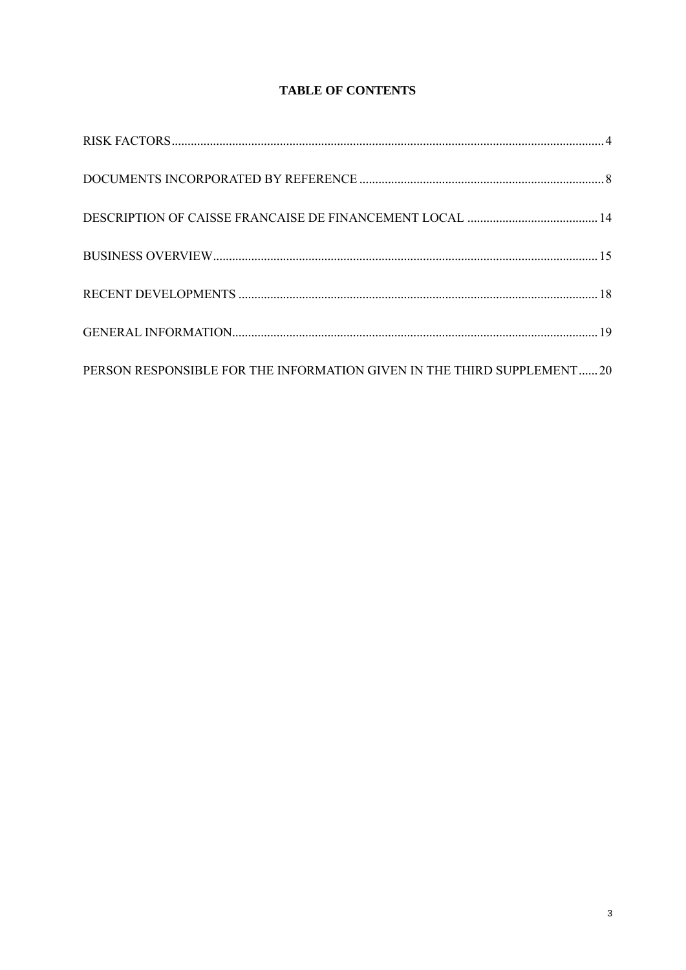# **TABLE OF CONTENTS**

| PERSON RESPONSIBLE FOR THE INFORMATION GIVEN IN THE THIRD SUPPLEMENT20 |  |
|------------------------------------------------------------------------|--|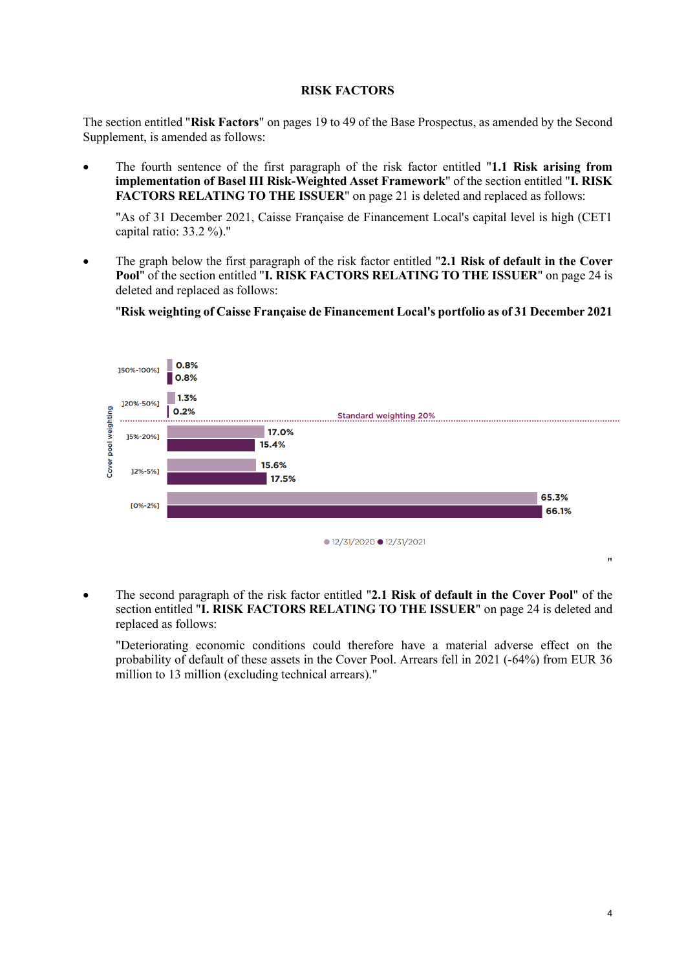## **RISK FACTORS**

<span id="page-3-0"></span>The section entitled "**Risk Factors**" on pages 19 to 49 of the Base Prospectus, as amended by the Second Supplement, is amended as follows:

• The fourth sentence of the first paragraph of the risk factor entitled "**1.1 Risk arising from implementation of Basel III Risk-Weighted Asset Framework**" of the section entitled "**I. RISK FACTORS RELATING TO THE ISSUER**" on page 21 is deleted and replaced as follows:

"As of 31 December 2021, Caisse Française de Financement Local's capital level is high (CET1 capital ratio: 33.2 %)."

• The graph below the first paragraph of the risk factor entitled "**2.1 Risk of default in the Cover Pool**" of the section entitled "**I. RISK FACTORS RELATING TO THE ISSUER**" on page 24 is deleted and replaced as follows:

"**Risk weighting of Caisse Française de Financement Local's portfolio as of 31 December 2021**



• The second paragraph of the risk factor entitled "**2.1 Risk of default in the Cover Pool**" of the section entitled "**I. RISK FACTORS RELATING TO THE ISSUER**" on page 24 is deleted and replaced as follows:

"Deteriorating economic conditions could therefore have a material adverse effect on the probability of default of these assets in the Cover Pool. Arrears fell in 2021 (-64%) from EUR 36 million to 13 million (excluding technical arrears)."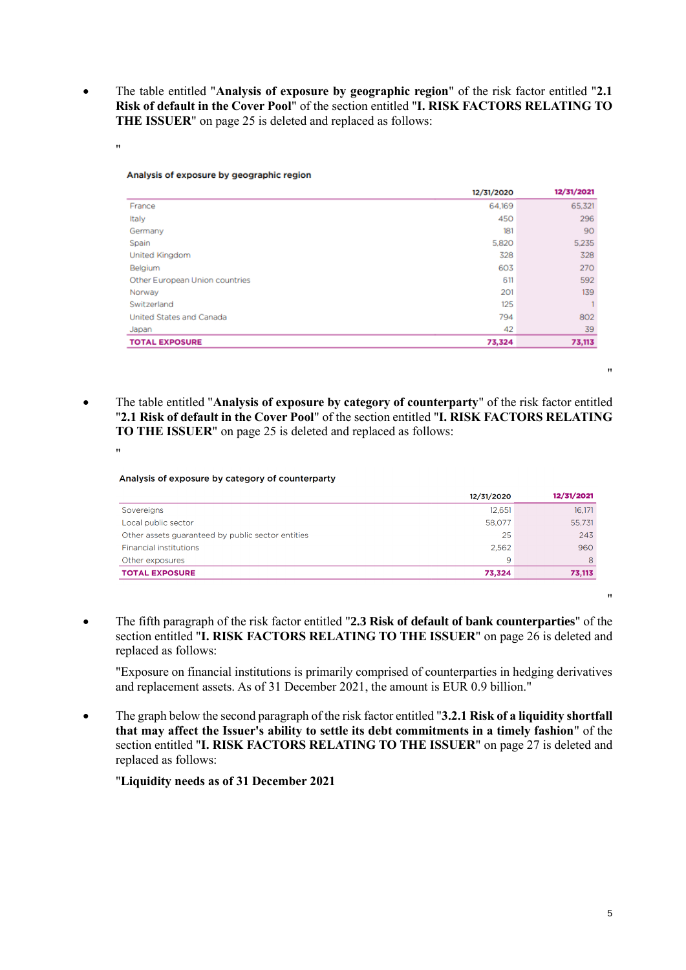• The table entitled "**Analysis of exposure by geographic region**" of the risk factor entitled "**2.1 Risk of default in the Cover Pool**" of the section entitled "**I. RISK FACTORS RELATING TO THE ISSUER**" on page 25 is deleted and replaced as follows:

"

|                                | 12/31/2020 | 12/31/2021 |
|--------------------------------|------------|------------|
| France                         | 64,169     | 65,321     |
| Italy                          | 450        | 296        |
| Germany                        | 181        | 90         |
| Spain                          | 5,820      | 5.235      |
| United Kingdom                 | 328        | 328        |
| Belgium                        | 603        | 270        |
| Other European Union countries | 611        | 592        |
| Norway                         | 201        | 139        |
| Switzerland                    | 125        |            |
| United States and Canada       | 794        | 802        |
| Japan                          | 42         | 39         |
| <b>TOTAL EXPOSURE</b>          | 73,324     | 73,113     |
|                                |            |            |

• The table entitled "**Analysis of exposure by category of counterparty**" of the risk factor entitled "**2.1 Risk of default in the Cover Pool**" of the section entitled "**I. RISK FACTORS RELATING TO THE ISSUER**" on page 25 is deleted and replaced as follows:

#### Analysis of exposure by category of counterparty

|                                                   | 12/31/2020 | 12/31/2021 |
|---------------------------------------------------|------------|------------|
| Sovereigns                                        | 12.651     | 16.171     |
| Local public sector                               | 58,077     | 55.731     |
| Other assets guaranteed by public sector entities | 25         | 243        |
| <b>Financial institutions</b>                     | 2.562      | 960        |
| Other exposures                                   | 9          | 8          |
| <b>TOTAL EXPOSURE</b>                             | 73,324     | 73,113     |

• The fifth paragraph of the risk factor entitled "**2.3 Risk of default of bank counterparties**" of the section entitled "**I. RISK FACTORS RELATING TO THE ISSUER**" on page 26 is deleted and replaced as follows:

"Exposure on financial institutions is primarily comprised of counterparties in hedging derivatives and replacement assets. As of 31 December 2021, the amount is EUR 0.9 billion."

• The graph below the second paragraph of the risk factor entitled "**3.2.1 Risk of a liquidity shortfall that may affect the Issuer's ability to settle its debt commitments in a timely fashion**" of the section entitled "**I. RISK FACTORS RELATING TO THE ISSUER**" on page 27 is deleted and replaced as follows:

"**Liquidity needs as of 31 December 2021**

"

"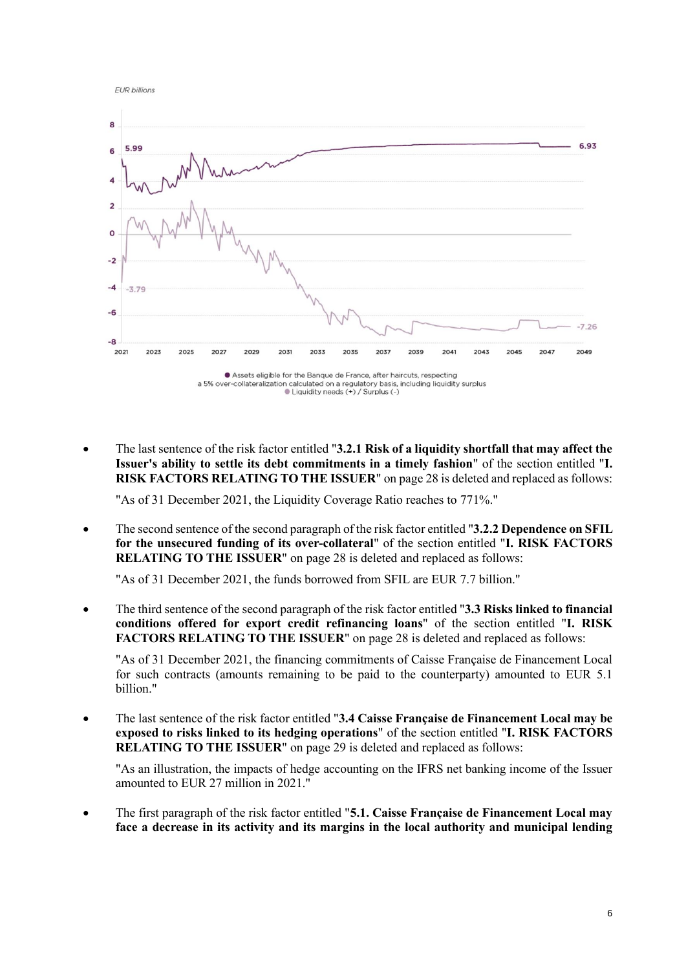**EUR billions** 



• The last sentence of the risk factor entitled "**3.2.1 Risk of a liquidity shortfall that may affect the Issuer's ability to settle its debt commitments in a timely fashion**" of the section entitled "**I. RISK FACTORS RELATING TO THE ISSUER**" on page 28 is deleted and replaced as follows:

"As of 31 December 2021, the Liquidity Coverage Ratio reaches to 771%."

• The second sentence of the second paragraph of the risk factor entitled "**3.2.2 Dependence on SFIL for the unsecured funding of its over-collateral**" of the section entitled "**I. RISK FACTORS RELATING TO THE ISSUER**" on page 28 is deleted and replaced as follows:

"As of 31 December 2021, the funds borrowed from SFIL are EUR 7.7 billion."

• The third sentence of the second paragraph of the risk factor entitled "**3.3 Risks linked to financial conditions offered for export credit refinancing loans**" of the section entitled "**I. RISK FACTORS RELATING TO THE ISSUER**" on page 28 is deleted and replaced as follows:

"As of 31 December 2021, the financing commitments of Caisse Française de Financement Local for such contracts (amounts remaining to be paid to the counterparty) amounted to EUR 5.1 billion."

• The last sentence of the risk factor entitled "**3.4 Caisse Française de Financement Local may be exposed to risks linked to its hedging operations**" of the section entitled "**I. RISK FACTORS RELATING TO THE ISSUER**" on page 29 is deleted and replaced as follows:

"As an illustration, the impacts of hedge accounting on the IFRS net banking income of the Issuer amounted to EUR 27 million in 2021."

• The first paragraph of the risk factor entitled "**5.1. Caisse Française de Financement Local may face a decrease in its activity and its margins in the local authority and municipal lending**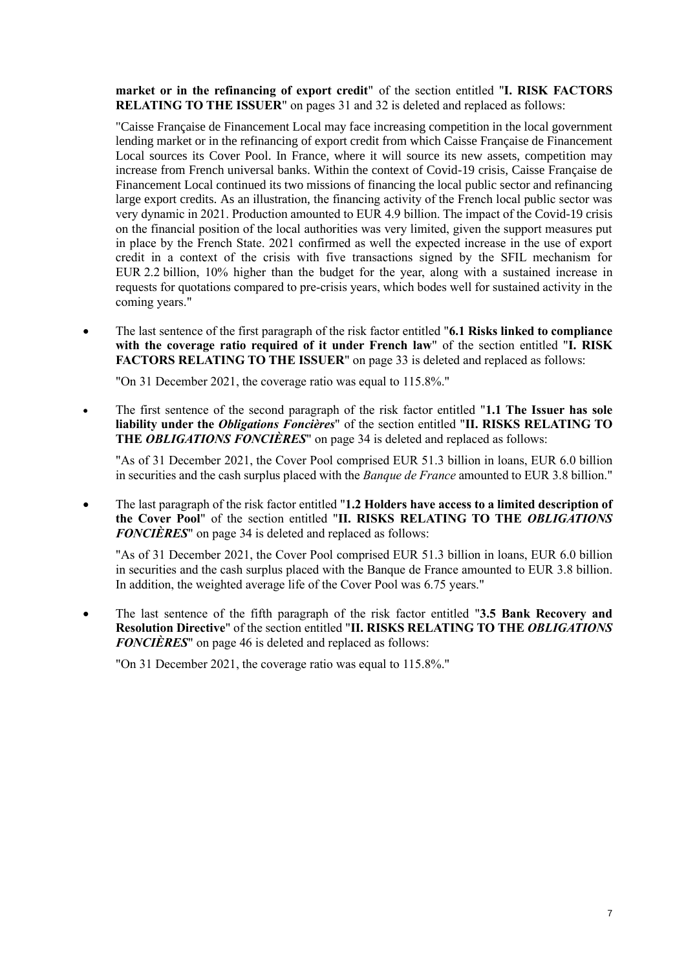**market or in the refinancing of export credit**" of the section entitled "**I. RISK FACTORS RELATING TO THE ISSUER**" on pages 31 and 32 is deleted and replaced as follows:

"Caisse Française de Financement Local may face increasing competition in the local government lending market or in the refinancing of export credit from which Caisse Française de Financement Local sources its Cover Pool. In France, where it will source its new assets, competition may increase from French universal banks. Within the context of Covid-19 crisis, Caisse Française de Financement Local continued its two missions of financing the local public sector and refinancing large export credits. As an illustration, the financing activity of the French local public sector was very dynamic in 2021. Production amounted to EUR 4.9 billion. The impact of the Covid-19 crisis on the financial position of the local authorities was very limited, given the support measures put in place by the French State. 2021 confirmed as well the expected increase in the use of export credit in a context of the crisis with five transactions signed by the SFIL mechanism for EUR 2.2 billion, 10% higher than the budget for the year, along with a sustained increase in requests for quotations compared to pre-crisis years, which bodes well for sustained activity in the coming years."

• The last sentence of the first paragraph of the risk factor entitled "**6.1 Risks linked to compliance with the coverage ratio required of it under French law**" of the section entitled "**I. RISK FACTORS RELATING TO THE ISSUER**" on page 33 is deleted and replaced as follows:

"On 31 December 2021, the coverage ratio was equal to 115.8%."

• The first sentence of the second paragraph of the risk factor entitled "**1.1 The Issuer has sole liability under the** *Obligations Foncières*" of the section entitled "**II. RISKS RELATING TO THE** *OBLIGATIONS FONCIÈRES*" on page 34 is deleted and replaced as follows:

"As of 31 December 2021, the Cover Pool comprised EUR 51.3 billion in loans, EUR 6.0 billion in securities and the cash surplus placed with the *Banque de France* amounted to EUR 3.8 billion."

• The last paragraph of the risk factor entitled "**1.2 Holders have access to a limited description of the Cover Pool**" of the section entitled "**II. RISKS RELATING TO THE** *OBLIGATIONS FONCIÈRES*" on page 34 is deleted and replaced as follows:

"As of 31 December 2021, the Cover Pool comprised EUR 51.3 billion in loans, EUR 6.0 billion in securities and the cash surplus placed with the Banque de France amounted to EUR 3.8 billion. In addition, the weighted average life of the Cover Pool was 6.75 years."

• The last sentence of the fifth paragraph of the risk factor entitled "**3.5 Bank Recovery and Resolution Directive**" of the section entitled "**II. RISKS RELATING TO THE** *OBLIGATIONS FONCIÈRES*" on page 46 is deleted and replaced as follows:

"On 31 December 2021, the coverage ratio was equal to 115.8%."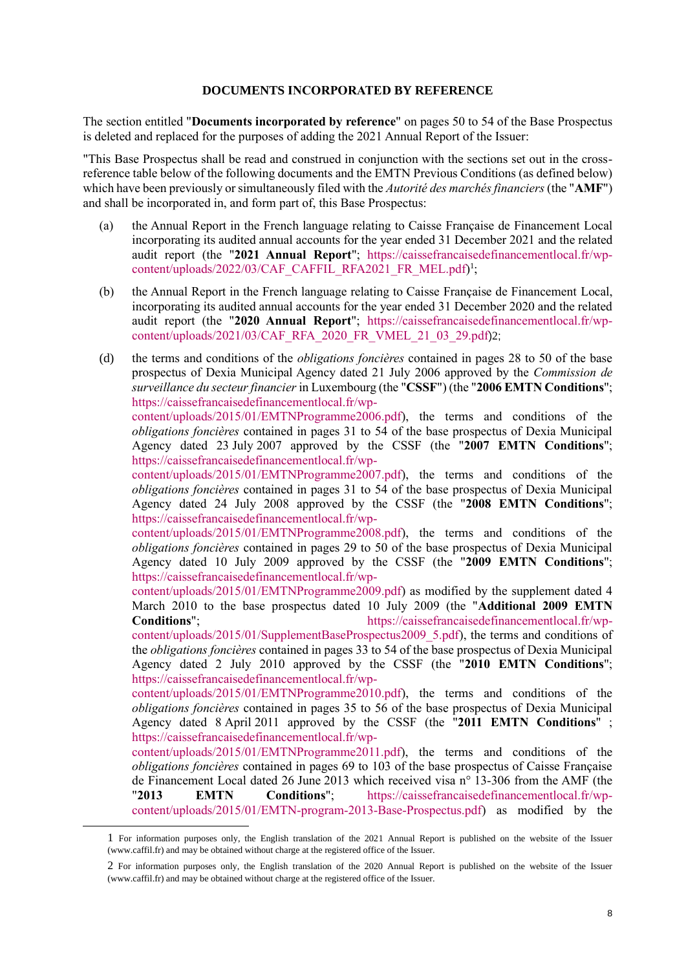#### **DOCUMENTS INCORPORATED BY REFERENCE**

<span id="page-7-0"></span>The section entitled "**Documents incorporated by reference**" on pages 50 to 54 of the Base Prospectus is deleted and replaced for the purposes of adding the 2021 Annual Report of the Issuer:

"This Base Prospectus shall be read and construed in conjunction with the sections set out in the crossreference table below of the following documents and the EMTN Previous Conditions (as defined below) which have been previously or simultaneously filed with the *Autorité des marchés financiers* (the "**AMF**") and shall be incorporated in, and form part of, this Base Prospectus:

- (a) the Annual Report in the French language relating to Caisse Française de Financement Local incorporating its audited annual accounts for the year ended 31 December 2021 and the related audit report (the "**2021 Annual Report**"; [https://caissefrancaisedefinancementlocal.fr/wp](https://caissefrancaisedefinancementlocal.fr/wp-content/uploads/2022/03/CAF_CAFFIL_RFA2021_FR_MEL.pdf)[content/uploads/2022/03/CAF\\_CAFFIL\\_RFA2021\\_FR\\_MEL.pdf\)](https://caissefrancaisedefinancementlocal.fr/wp-content/uploads/2022/03/CAF_CAFFIL_RFA2021_FR_MEL.pdf)<sup>1</sup>;
- (b) the Annual Report in the French language relating to Caisse Française de Financement Local, incorporating its audited annual accounts for the year ended 31 December 2020 and the related audit report (the "**2020 Annual Report**"; [https://caissefrancaisedefinancementlocal.fr/wp](https://caissefrancaisedefinancementlocal.fr/wp-content/uploads/2021/03/CAF_RFA_2020_FR_VMEL_21_03_29.pdf)[content/uploads/2021/03/CAF\\_RFA\\_2020\\_FR\\_VMEL\\_21\\_03\\_29.pdf](https://caissefrancaisedefinancementlocal.fr/wp-content/uploads/2021/03/CAF_RFA_2020_FR_VMEL_21_03_29.pdf))2;
- (d) the terms and conditions of the *obligations foncières* contained in pages 28 to 50 of the base prospectus of Dexia Municipal Agency dated 21 July 2006 approved by the *Commission de surveillance du secteur financier* in Luxembourg (the "**CSSF**") (the "**2006 EMTN Conditions**"; [https://caissefrancaisedefinancementlocal.fr/wp-](https://caissefrancaisedefinancementlocal.fr/wp-content/uploads/2015/01/EMTNProgramme2006.pdf)

[content/uploads/2015/01/EMTNProgramme2006.pdf\)](https://caissefrancaisedefinancementlocal.fr/wp-content/uploads/2015/01/EMTNProgramme2006.pdf), the terms and conditions of the *obligations foncières* contained in pages 31 to 54 of the base prospectus of Dexia Municipal Agency dated 23 July 2007 approved by the CSSF (the "**2007 EMTN Conditions**"; [https://caissefrancaisedefinancementlocal.fr/wp-](https://caissefrancaisedefinancementlocal.fr/wp-content/uploads/2015/01/EMTNProgramme2007.pdf)

[content/uploads/2015/01/EMTNProgramme2007.pdf\)](https://caissefrancaisedefinancementlocal.fr/wp-content/uploads/2015/01/EMTNProgramme2007.pdf), the terms and conditions of the *obligations foncières* contained in pages 31 to 54 of the base prospectus of Dexia Municipal Agency dated 24 July 2008 approved by the CSSF (the "**2008 EMTN Conditions**"; [https://caissefrancaisedefinancementlocal.fr/wp-](https://caissefrancaisedefinancementlocal.fr/wp-content/uploads/2015/01/EMTNProgramme2008.pdf)

[content/uploads/2015/01/EMTNProgramme2008.pdf\)](https://caissefrancaisedefinancementlocal.fr/wp-content/uploads/2015/01/EMTNProgramme2008.pdf), the terms and conditions of the *obligations foncières* contained in pages 29 to 50 of the base prospectus of Dexia Municipal Agency dated 10 July 2009 approved by the CSSF (the "**2009 EMTN Conditions**"; [https://caissefrancaisedefinancementlocal.fr/wp-](https://caissefrancaisedefinancementlocal.fr/wp-content/uploads/2015/01/EMTNProgramme2009.pdf)

[content/uploads/2015/01/EMTNProgramme2009.pdf\)](https://caissefrancaisedefinancementlocal.fr/wp-content/uploads/2015/01/EMTNProgramme2009.pdf) as modified by the supplement dated 4 March 2010 to the base prospectus dated 10 July 2009 (the "**Additional 2009 EMTN Conditions**": [https://caissefrancaisedefinancementlocal.fr/wp](https://caissefrancaisedefinancementlocal.fr/wp-content/uploads/2015/01/SupplementBaseProspectus2009_5.pdf)[content/uploads/2015/01/SupplementBaseProspectus2009\\_5.pdf\)](https://caissefrancaisedefinancementlocal.fr/wp-content/uploads/2015/01/SupplementBaseProspectus2009_5.pdf), the terms and conditions of the *obligations foncières* contained in pages 33 to 54 of the base prospectus of Dexia Municipal Agency dated 2 July 2010 approved by the CSSF (the "**2010 EMTN Conditions**"; [https://caissefrancaisedefinancementlocal.fr/wp-](https://caissefrancaisedefinancementlocal.fr/wp-content/uploads/2015/01/EMTNProgramme2010.pdf)

[content/uploads/2015/01/EMTNProgramme2010.pdf\)](https://caissefrancaisedefinancementlocal.fr/wp-content/uploads/2015/01/EMTNProgramme2010.pdf), the terms and conditions of the *obligations foncières* contained in pages 35 to 56 of the base prospectus of Dexia Municipal Agency dated 8 April 2011 approved by the CSSF (the "**2011 EMTN Conditions**" ; [https://caissefrancaisedefinancementlocal.fr/wp-](https://caissefrancaisedefinancementlocal.fr/wp-content/uploads/2015/01/EMTNProgramme2011.pdf)

[content/uploads/2015/01/EMTNProgramme2011.pdf\)](https://caissefrancaisedefinancementlocal.fr/wp-content/uploads/2015/01/EMTNProgramme2011.pdf), the terms and conditions of the *obligations foncières* contained in pages 69 to 103 of the base prospectus of Caisse Française de Financement Local dated 26 June 2013 which received visa n° 13-306 from the AMF (the "**2013 EMTN Conditions**"; [https://caissefrancaisedefinancementlocal.fr/wp](https://caissefrancaisedefinancementlocal.fr/wp-content/uploads/2015/01/EMTN-program-2013-Base-Prospectus.pdf)[content/uploads/2015/01/EMTN-program-2013-Base-Prospectus.pdf\)](https://caissefrancaisedefinancementlocal.fr/wp-content/uploads/2015/01/EMTN-program-2013-Base-Prospectus.pdf) as modified by the

<sup>1</sup> For information purposes only, the English translation of the 2021 Annual Report is published on the website of the Issuer (www.caffil.fr) and may be obtained without charge at the registered office of the Issuer.

<sup>2</sup> For information purposes only, the English translation of the 2020 Annual Report is published on the website of the Issuer (www.caffil.fr) and may be obtained without charge at the registered office of the Issuer.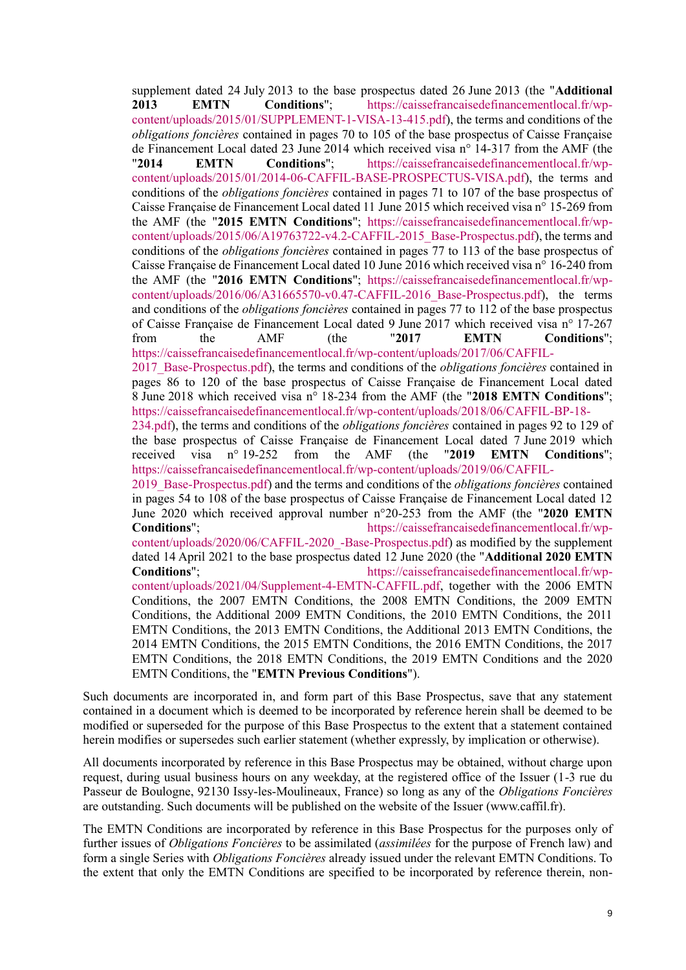supplement dated 24 July 2013 to the base prospectus dated 26 June 2013 (the "**Additional 2013 EMTN Conditions**"; [https://caissefrancaisedefinancementlocal.fr/wp](https://caissefrancaisedefinancementlocal.fr/wp-content/uploads/2015/01/SUPPLEMENT-1-VISA-13-415.pdf)[content/uploads/2015/01/SUPPLEMENT-1-VISA-13-415.pdf\)](https://caissefrancaisedefinancementlocal.fr/wp-content/uploads/2015/01/SUPPLEMENT-1-VISA-13-415.pdf), the terms and conditions of the *obligations foncières* contained in pages 70 to 105 of the base prospectus of Caisse Française de Financement Local dated 23 June 2014 which received visa n° 14-317 from the AMF (the "**2014 EMTN Conditions**"; [https://caissefrancaisedefinancementlocal.fr/wp](https://caissefrancaisedefinancementlocal.fr/wp-content/uploads/2015/01/2014-06-CAFFIL-BASE-PROSPECTUS-VISA.pdf)[content/uploads/2015/01/2014-06-CAFFIL-BASE-PROSPECTUS-VISA.pdf\)](https://caissefrancaisedefinancementlocal.fr/wp-content/uploads/2015/01/2014-06-CAFFIL-BASE-PROSPECTUS-VISA.pdf), the terms and conditions of the *obligations foncières* contained in pages 71 to 107 of the base prospectus of Caisse Française de Financement Local dated 11 June 2015 which received visa n° 15-269 from the AMF (the "**2015 EMTN Conditions**"; [https://caissefrancaisedefinancementlocal.fr/wp](https://caissefrancaisedefinancementlocal.fr/wp-content/uploads/2015/06/A19763722-v4.2-CAFFIL-2015_Base-Prospectus.pdf)[content/uploads/2015/06/A19763722-v4.2-CAFFIL-2015\\_Base-Prospectus.pdf\)](https://caissefrancaisedefinancementlocal.fr/wp-content/uploads/2015/06/A19763722-v4.2-CAFFIL-2015_Base-Prospectus.pdf), the terms and conditions of the *obligations foncières* contained in pages 77 to 113 of the base prospectus of Caisse Française de Financement Local dated 10 June 2016 which received visa n° 16-240 from the AMF (the "**2016 EMTN Conditions**"; [https://caissefrancaisedefinancementlocal.fr/wp](https://caissefrancaisedefinancementlocal.fr/wp-content/uploads/2016/06/A31665570-v0.47-CAFFIL-2016_Base-Prospectus.pdf)[content/uploads/2016/06/A31665570-v0.47-CAFFIL-2016\\_Base-Prospectus.pdf\)](https://caissefrancaisedefinancementlocal.fr/wp-content/uploads/2016/06/A31665570-v0.47-CAFFIL-2016_Base-Prospectus.pdf), the terms and conditions of the *obligations foncières* contained in pages 77 to 112 of the base prospectus of Caisse Française de Financement Local dated 9 June 2017 which received visa n° 17-267 from the AMF (the "**2017 EMTN Conditions**"; [https://caissefrancaisedefinancementlocal.fr/wp-content/uploads/2017/06/CAFFIL-](https://caissefrancaisedefinancementlocal.fr/wp-content/uploads/2017/06/CAFFIL-2017_Base-Prospectus.pdf)[2017\\_Base-Prospectus.pdf\)](https://caissefrancaisedefinancementlocal.fr/wp-content/uploads/2017/06/CAFFIL-2017_Base-Prospectus.pdf), the terms and conditions of the *obligations foncières* contained in pages 86 to 120 of the base prospectus of Caisse Française de Financement Local dated 8 June 2018 which received visa n° 18-234 from the AMF (the "**2018 EMTN Conditions**"; [https://caissefrancaisedefinancementlocal.fr/wp-content/uploads/2018/06/CAFFIL-BP-18-](https://caissefrancaisedefinancementlocal.fr/wp-content/uploads/2018/06/CAFFIL-BP-18-234.pdf) [234.pdf\)](https://caissefrancaisedefinancementlocal.fr/wp-content/uploads/2018/06/CAFFIL-BP-18-234.pdf), the terms and conditions of the *obligations foncières* contained in pages 92 to 129 of the base prospectus of Caisse Française de Financement Local dated 7 June 2019 which received visa n° 19-252 from the AMF (the "**2019 EMTN Conditions**"; [https://caissefrancaisedefinancementlocal.fr/wp-content/uploads/2019/06/CAFFIL-](https://caissefrancaisedefinancementlocal.fr/wp-content/uploads/2019/06/CAFFIL-2019_Base-Prospectus.pdf)[2019\\_Base-Prospectus.pdf\)](https://caissefrancaisedefinancementlocal.fr/wp-content/uploads/2019/06/CAFFIL-2019_Base-Prospectus.pdf) and the terms and conditions of the *obligations foncières* contained in pages 54 to 108 of the base prospectus of Caisse Française de Financement Local dated 12 June 2020 which received approval number n°20-253 from the AMF (the "**2020 EMTN Conditions**"; [https://caissefrancaisedefinancementlocal.fr/wp](https://caissefrancaisedefinancementlocal.fr/wp-content/uploads/2020/06/CAFFIL-2020_-Base-Prospectus.pdf)[content/uploads/2020/06/CAFFIL-2020\\_-Base-Prospectus.pdf\)](https://caissefrancaisedefinancementlocal.fr/wp-content/uploads/2020/06/CAFFIL-2020_-Base-Prospectus.pdf) as modified by the supplement dated 14 April 2021 to the base prospectus dated 12 June 2020 (the "**Additional 2020 EMTN Conditions**"; [https://caissefrancaisedefinancementlocal.fr/wp](https://caissefrancaisedefinancementlocal.fr/wp-content/uploads/2021/04/Supplement-4-EMTN-CAFFIL.pdf)[content/uploads/2021/04/Supplement-4-EMTN-CAFFIL.pdf,](https://caissefrancaisedefinancementlocal.fr/wp-content/uploads/2021/04/Supplement-4-EMTN-CAFFIL.pdf) together with the 2006 EMTN Conditions, the 2007 EMTN Conditions, the 2008 EMTN Conditions, the 2009 EMTN Conditions, the Additional 2009 EMTN Conditions, the 2010 EMTN Conditions, the 2011 EMTN Conditions, the 2013 EMTN Conditions, the Additional 2013 EMTN Conditions, the 2014 EMTN Conditions, the 2015 EMTN Conditions, the 2016 EMTN Conditions, the 2017 EMTN Conditions, the 2018 EMTN Conditions, the 2019 EMTN Conditions and the 2020

EMTN Conditions, the "**EMTN Previous Conditions**").

Such documents are incorporated in, and form part of this Base Prospectus, save that any statement contained in a document which is deemed to be incorporated by reference herein shall be deemed to be modified or superseded for the purpose of this Base Prospectus to the extent that a statement contained herein modifies or supersedes such earlier statement (whether expressly, by implication or otherwise).

All documents incorporated by reference in this Base Prospectus may be obtained, without charge upon request, during usual business hours on any weekday, at the registered office of the Issuer (1-3 rue du Passeur de Boulogne, 92130 Issy-les-Moulineaux, France) so long as any of the *Obligations Foncières* are outstanding. Such documents will be published on the website of the Issuer (www.caffil.fr).

The EMTN Conditions are incorporated by reference in this Base Prospectus for the purposes only of further issues of *Obligations Foncières* to be assimilated (*assimilées* for the purpose of French law) and form a single Series with *Obligations Foncières* already issued under the relevant EMTN Conditions. To the extent that only the EMTN Conditions are specified to be incorporated by reference therein, non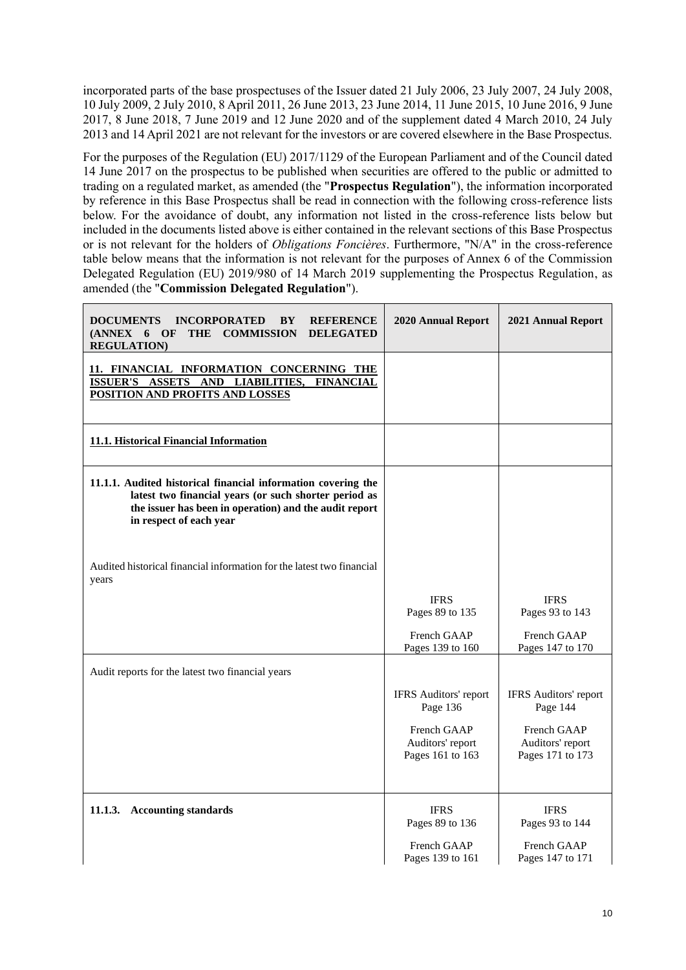incorporated parts of the base prospectuses of the Issuer dated 21 July 2006, 23 July 2007, 24 July 2008, 10 July 2009, 2 July 2010, 8 April 2011, 26 June 2013, 23 June 2014, 11 June 2015, 10 June 2016, 9 June 2017, 8 June 2018, 7 June 2019 and 12 June 2020 and of the supplement dated 4 March 2010, 24 July 2013 and 14 April 2021 are not relevant for the investors or are covered elsewhere in the Base Prospectus.

For the purposes of the Regulation (EU) 2017/1129 of the European Parliament and of the Council dated 14 June 2017 on the prospectus to be published when securities are offered to the public or admitted to trading on a regulated market, as amended (the "**Prospectus Regulation**"), the information incorporated by reference in this Base Prospectus shall be read in connection with the following cross-reference lists below. For the avoidance of doubt, any information not listed in the cross-reference lists below but included in the documents listed above is either contained in the relevant sections of this Base Prospectus or is not relevant for the holders of *Obligations Foncières*. Furthermore, "N/A" in the cross-reference table below means that the information is not relevant for the purposes of Annex 6 of the Commission Delegated Regulation (EU) 2019/980 of 14 March 2019 supplementing the Prospectus Regulation, as amended (the "**Commission Delegated Regulation**").

| <b>DOCUMENTS</b><br><b>INCORPORATED</b><br><b>REFERENCE</b><br>BY<br>(ANNEX 6 OF<br>THE COMMISSION<br><b>DELEGATED</b><br><b>REGULATION)</b>                                                                | <b>2020 Annual Report</b>                                                                | <b>2021 Annual Report</b>                                                                |
|-------------------------------------------------------------------------------------------------------------------------------------------------------------------------------------------------------------|------------------------------------------------------------------------------------------|------------------------------------------------------------------------------------------|
| 11. FINANCIAL INFORMATION CONCERNING THE<br><b>AND</b><br><b>LIABILITIES,</b><br><b>FINANCIAL</b><br><b>ISSUER'S</b><br><b>ASSETS</b><br>POSITION AND PROFITS AND LOSSES                                    |                                                                                          |                                                                                          |
| 11.1. Historical Financial Information                                                                                                                                                                      |                                                                                          |                                                                                          |
| 11.1.1. Audited historical financial information covering the<br>latest two financial years (or such shorter period as<br>the issuer has been in operation) and the audit report<br>in respect of each year |                                                                                          |                                                                                          |
| Audited historical financial information for the latest two financial<br>years                                                                                                                              |                                                                                          |                                                                                          |
|                                                                                                                                                                                                             | <b>IFRS</b><br>Pages 89 to 135<br>French GAAP<br>Pages 139 to 160                        | <b>IFRS</b><br>Pages 93 to 143<br>French GAAP<br>Pages 147 to 170                        |
| Audit reports for the latest two financial years                                                                                                                                                            |                                                                                          |                                                                                          |
|                                                                                                                                                                                                             | IFRS Auditors' report<br>Page 136<br>French GAAP<br>Auditors' report<br>Pages 161 to 163 | IFRS Auditors' report<br>Page 144<br>French GAAP<br>Auditors' report<br>Pages 171 to 173 |
| 11.1.3.<br><b>Accounting standards</b>                                                                                                                                                                      | <b>IFRS</b><br>Pages 89 to 136                                                           | <b>IFRS</b><br>Pages 93 to 144                                                           |
|                                                                                                                                                                                                             | French GAAP<br>Pages 139 to 161                                                          | French GAAP<br>Pages 147 to 171                                                          |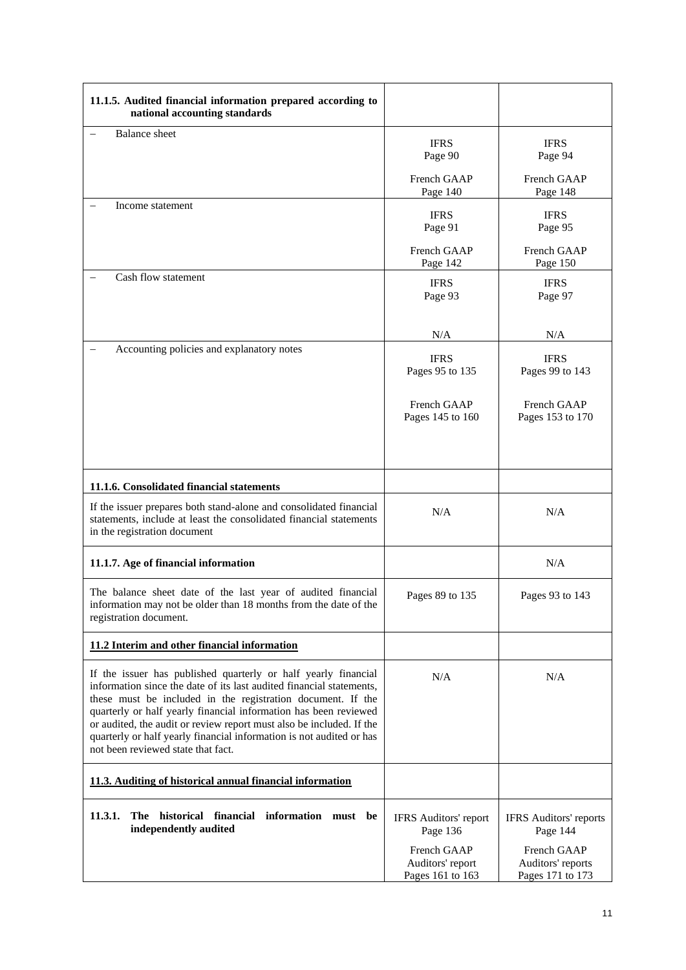| 11.1.5. Audited financial information prepared according to<br>national accounting standards                                                                                                                                                                                                                                                                                                                                                                    |                                                     |                                                      |  |
|-----------------------------------------------------------------------------------------------------------------------------------------------------------------------------------------------------------------------------------------------------------------------------------------------------------------------------------------------------------------------------------------------------------------------------------------------------------------|-----------------------------------------------------|------------------------------------------------------|--|
| <b>Balance</b> sheet                                                                                                                                                                                                                                                                                                                                                                                                                                            | <b>IFRS</b><br>Page 90                              | <b>IFRS</b><br>Page 94                               |  |
|                                                                                                                                                                                                                                                                                                                                                                                                                                                                 | French GAAP<br>Page 140                             | French GAAP<br>Page 148                              |  |
| Income statement                                                                                                                                                                                                                                                                                                                                                                                                                                                | <b>IFRS</b><br>Page 91                              | <b>IFRS</b><br>Page 95                               |  |
|                                                                                                                                                                                                                                                                                                                                                                                                                                                                 | French GAAP<br>Page 142                             | French GAAP<br>Page 150                              |  |
| Cash flow statement                                                                                                                                                                                                                                                                                                                                                                                                                                             | <b>IFRS</b><br>Page 93                              | <b>IFRS</b><br>Page 97                               |  |
|                                                                                                                                                                                                                                                                                                                                                                                                                                                                 | N/A                                                 | N/A                                                  |  |
| Accounting policies and explanatory notes                                                                                                                                                                                                                                                                                                                                                                                                                       | <b>IFRS</b><br>Pages 95 to 135                      | <b>IFRS</b><br>Pages 99 to 143                       |  |
|                                                                                                                                                                                                                                                                                                                                                                                                                                                                 | French GAAP<br>Pages 145 to 160                     | French GAAP<br>Pages 153 to 170                      |  |
| 11.1.6. Consolidated financial statements                                                                                                                                                                                                                                                                                                                                                                                                                       |                                                     |                                                      |  |
| If the issuer prepares both stand-alone and consolidated financial<br>statements, include at least the consolidated financial statements<br>in the registration document                                                                                                                                                                                                                                                                                        | N/A                                                 | N/A                                                  |  |
| 11.1.7. Age of financial information                                                                                                                                                                                                                                                                                                                                                                                                                            |                                                     | N/A                                                  |  |
| The balance sheet date of the last year of audited financial<br>information may not be older than 18 months from the date of the<br>registration document.                                                                                                                                                                                                                                                                                                      | Pages 89 to 135                                     | Pages 93 to 143                                      |  |
| 11.2 Interim and other financial information                                                                                                                                                                                                                                                                                                                                                                                                                    |                                                     |                                                      |  |
| If the issuer has published quarterly or half yearly financial<br>information since the date of its last audited financial statements,<br>these must be included in the registration document. If the<br>quarterly or half yearly financial information has been reviewed<br>or audited, the audit or review report must also be included. If the<br>quarterly or half yearly financial information is not audited or has<br>not been reviewed state that fact. | N/A                                                 | N/A                                                  |  |
| 11.3. Auditing of historical annual financial information                                                                                                                                                                                                                                                                                                                                                                                                       |                                                     |                                                      |  |
| 11.3.1.<br>The historical financial information must be<br>independently audited                                                                                                                                                                                                                                                                                                                                                                                | <b>IFRS</b> Auditors' report<br>Page 136            | <b>IFRS</b> Auditors' reports<br>Page 144            |  |
|                                                                                                                                                                                                                                                                                                                                                                                                                                                                 | French GAAP<br>Auditors' report<br>Pages 161 to 163 | French GAAP<br>Auditors' reports<br>Pages 171 to 173 |  |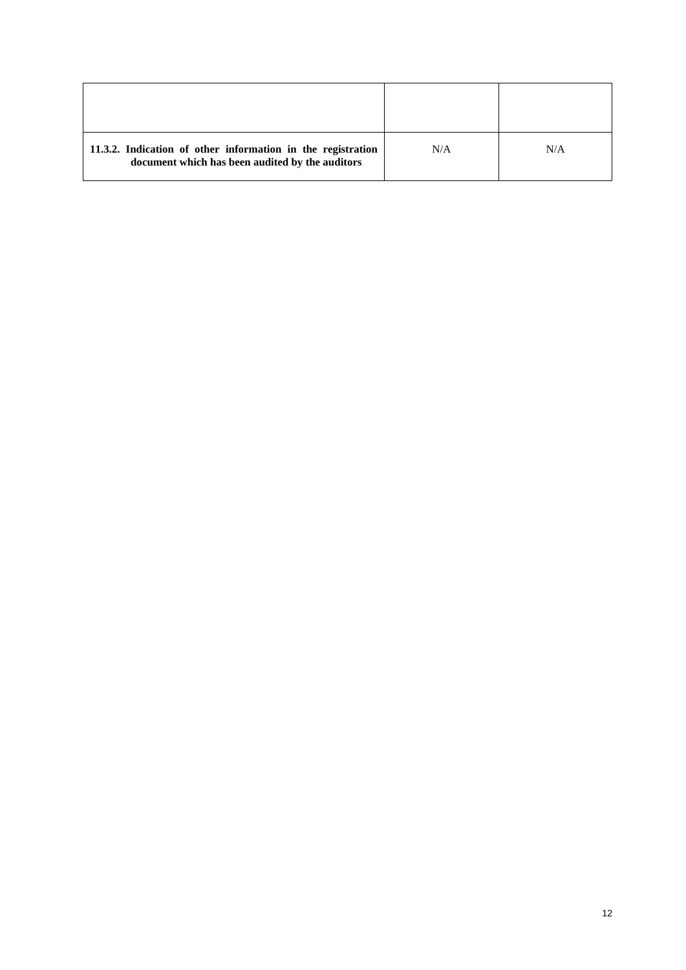| 11.3.2. Indication of other information in the registration<br>document which has been audited by the auditors | N/A | N/A |
|----------------------------------------------------------------------------------------------------------------|-----|-----|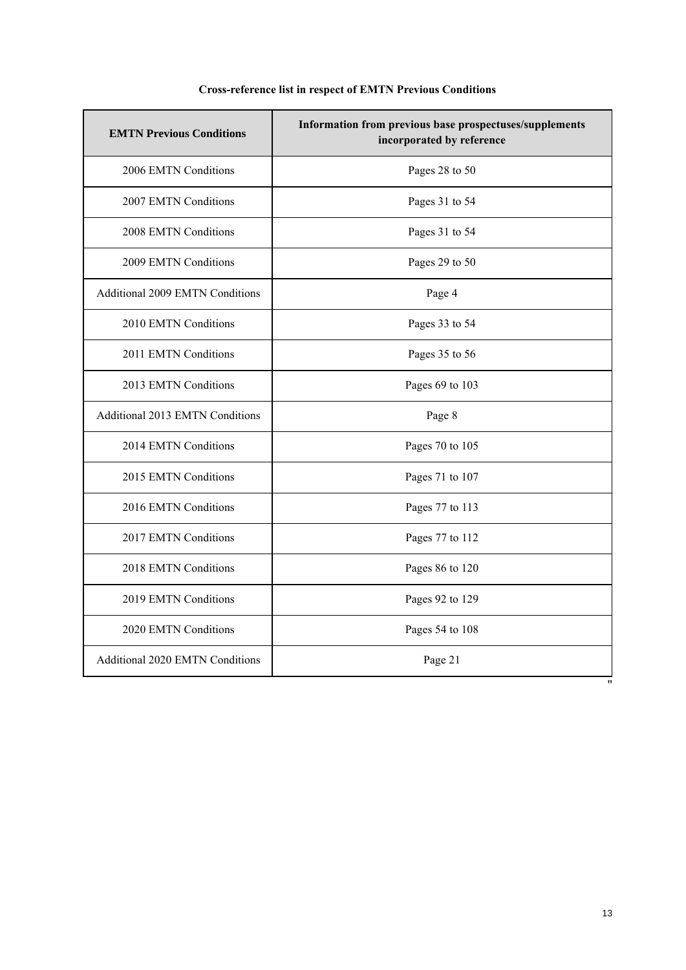| <b>EMTN Previous Conditions</b>        | Information from previous base prospectuses/supplements<br>incorporated by reference |
|----------------------------------------|--------------------------------------------------------------------------------------|
| 2006 EMTN Conditions                   | Pages 28 to 50                                                                       |
| 2007 EMTN Conditions                   | Pages 31 to 54                                                                       |
| 2008 EMTN Conditions                   | Pages 31 to 54                                                                       |
| 2009 EMTN Conditions                   | Pages 29 to 50                                                                       |
| <b>Additional 2009 EMTN Conditions</b> | Page 4                                                                               |
| 2010 EMTN Conditions                   | Pages 33 to 54                                                                       |
| 2011 EMTN Conditions                   | Pages 35 to 56                                                                       |
| 2013 EMTN Conditions                   | Pages 69 to 103                                                                      |
| Additional 2013 EMTN Conditions        | Page 8                                                                               |
| 2014 EMTN Conditions                   | Pages 70 to 105                                                                      |
| 2015 EMTN Conditions                   | Pages 71 to 107                                                                      |
| 2016 EMTN Conditions                   | Pages 77 to 113                                                                      |
| 2017 EMTN Conditions                   | Pages 77 to 112                                                                      |
| 2018 EMTN Conditions                   | Pages 86 to 120                                                                      |
| 2019 EMTN Conditions                   | Pages 92 to 129                                                                      |
| 2020 EMTN Conditions                   | Pages 54 to 108                                                                      |
| Additional 2020 EMTN Conditions        | Page 21<br>$^{\prime\prime}$                                                         |

# **Cross-reference list in respect of EMTN Previous Conditions**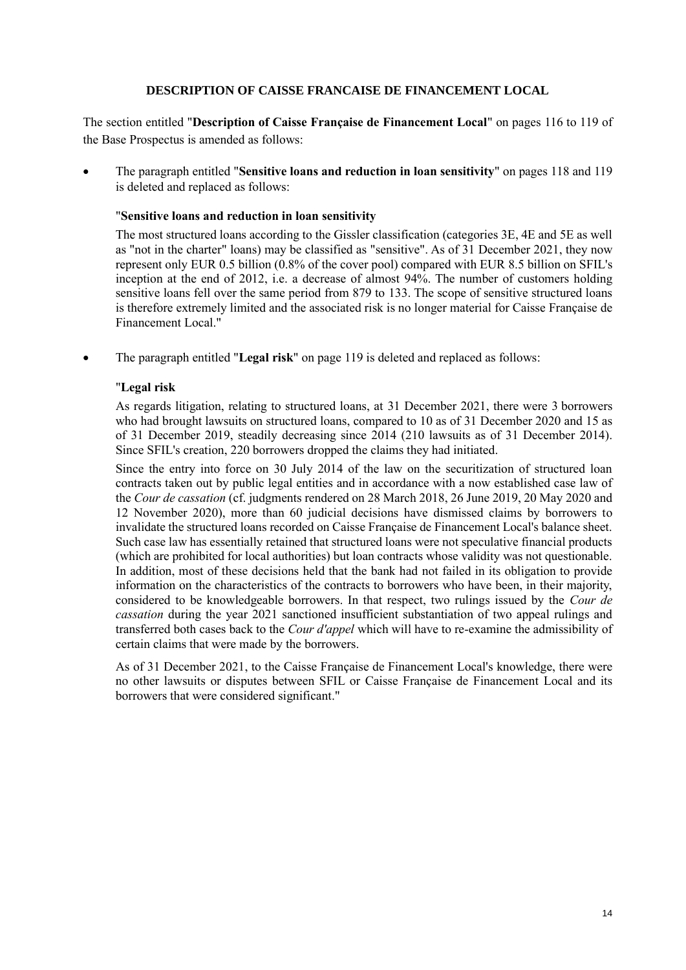## **DESCRIPTION OF CAISSE FRANCAISE DE FINANCEMENT LOCAL**

<span id="page-13-0"></span>The section entitled "**Description of Caisse Française de Financement Local**" on pages 116 to 119 of the Base Prospectus is amended as follows:

• The paragraph entitled "**Sensitive loans and reduction in loan sensitivity**" on pages 118 and 119 is deleted and replaced as follows:

## "**Sensitive loans and reduction in loan sensitivity**

The most structured loans according to the Gissler classification (categories 3E, 4E and 5E as well as "not in the charter" loans) may be classified as "sensitive". As of 31 December 2021, they now represent only EUR 0.5 billion (0.8% of the cover pool) compared with EUR 8.5 billion on SFIL's inception at the end of 2012, i.e. a decrease of almost 94%. The number of customers holding sensitive loans fell over the same period from 879 to 133. The scope of sensitive structured loans is therefore extremely limited and the associated risk is no longer material for Caisse Française de Financement Local."

• The paragraph entitled "**Legal risk**" on page 119 is deleted and replaced as follows:

## "**Legal risk**

As regards litigation, relating to structured loans, at 31 December 2021, there were 3 borrowers who had brought lawsuits on structured loans, compared to 10 as of 31 December 2020 and 15 as of 31 December 2019, steadily decreasing since 2014 (210 lawsuits as of 31 December 2014). Since SFIL's creation, 220 borrowers dropped the claims they had initiated.

Since the entry into force on 30 July 2014 of the law on the securitization of structured loan contracts taken out by public legal entities and in accordance with a now established case law of the *Cour de cassation* (cf. judgments rendered on 28 March 2018, 26 June 2019, 20 May 2020 and 12 November 2020), more than 60 judicial decisions have dismissed claims by borrowers to invalidate the structured loans recorded on Caisse Française de Financement Local's balance sheet. Such case law has essentially retained that structured loans were not speculative financial products (which are prohibited for local authorities) but loan contracts whose validity was not questionable. In addition, most of these decisions held that the bank had not failed in its obligation to provide information on the characteristics of the contracts to borrowers who have been, in their majority, considered to be knowledgeable borrowers. In that respect, two rulings issued by the *Cour de cassation* during the year 2021 sanctioned insufficient substantiation of two appeal rulings and transferred both cases back to the *Cour d'appel* which will have to re-examine the admissibility of certain claims that were made by the borrowers.

As of 31 December 2021, to the Caisse Française de Financement Local's knowledge, there were no other lawsuits or disputes between SFIL or Caisse Française de Financement Local and its borrowers that were considered significant."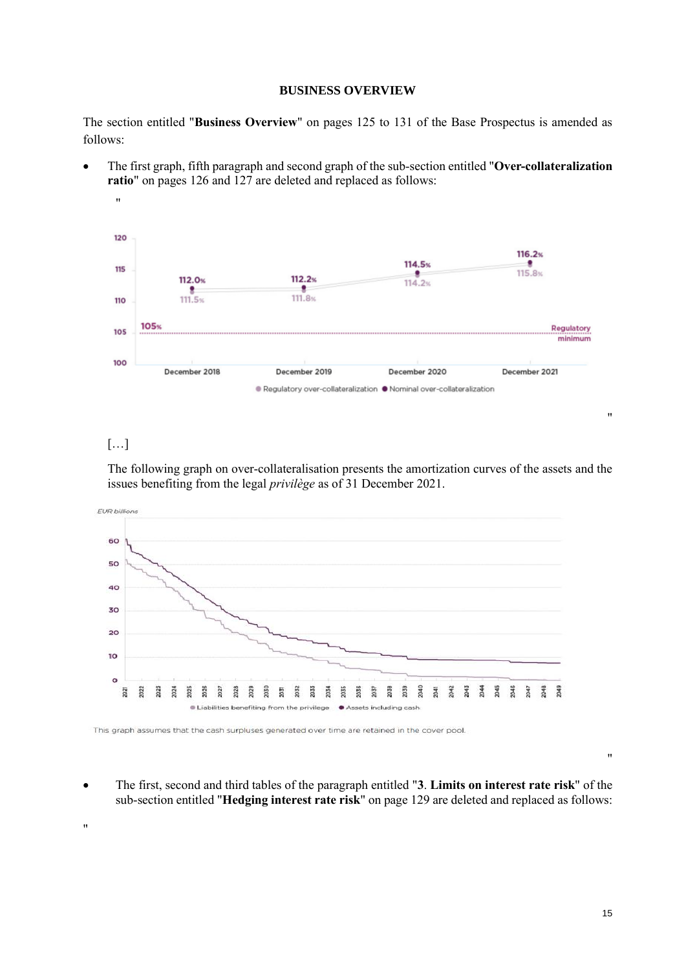#### **BUSINESS OVERVIEW**

<span id="page-14-0"></span>The section entitled "**Business Overview**" on pages 125 to 131 of the Base Prospectus is amended as follows:

• The first graph, fifth paragraph and second graph of the sub-section entitled "**Over-collateralization ratio**" on pages 126 and 127 are deleted and replaced as follows:



# […]

The following graph on over-collateralisation presents the amortization curves of the assets and the issues benefiting from the legal *privilège* as of 31 December 2021.



This graph assumes that the cash surpluses generated over time are retained in the cover pool.

• The first, second and third tables of the paragraph entitled "**3**. **Limits on interest rate risk**" of the sub-section entitled "**Hedging interest rate risk**" on page 129 are deleted and replaced as follows:

"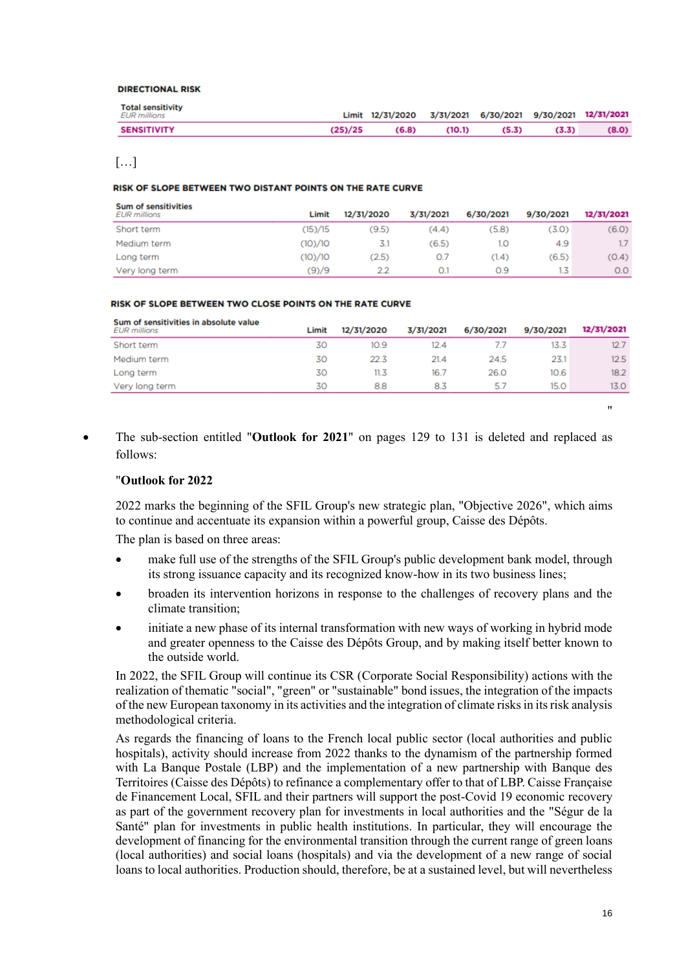#### DIPECTIONAL DISK

| <b>Total sensitivity</b><br>EUR millions |         | Limit 12/31/2020 3/31/2021 6/30/2021 9/30/2021 12/31/2021 |        |       |       |       |
|------------------------------------------|---------|-----------------------------------------------------------|--------|-------|-------|-------|
| <b>SENSITIVITY</b>                       | (25)/25 | (6.8)                                                     | (10.1) | (5.3) | (3.3) | (8.0) |

# […]

#### RISK OF SLOPE BETWEEN TWO DISTANT POINTS ON THE RATE CURVE

| <b>Sum of sensitivities</b><br><b>EUR</b> millions | Limit   | 12/31/2020 | 3/31/2021 | 6/30/2021 | 9/30/2021 | 12/31/2021       |
|----------------------------------------------------|---------|------------|-----------|-----------|-----------|------------------|
| Short term                                         | (15)/15 | (9.5)      | (4.4)     | (5.8)     | (3.0)     | (6.0)            |
| Medium term                                        | (10)/10 | 5.1        | (6.5)     | 1.0       | 4.9       |                  |
| Long term                                          | (10)/10 | (2.5)      | 0.7       | (1,4)     | (6.5)     | (0.4)            |
| Very long term                                     | (9)/9   | 2.2        | 0.1       | 0.9       | 63.       | 0.0 <sub>1</sub> |

#### RISK OF SLOPE BETWEEN TWO CLOSE POINTS ON THE RATE CURVE

| Sum of sensitivities in absolute value<br><b>EUR millions</b> | Limit | 12/31/2020 | 3/31/2021 | 6/30/2021 | 9/30/2021 | 12/31/2021 |
|---------------------------------------------------------------|-------|------------|-----------|-----------|-----------|------------|
| Short term                                                    | 30    | 10.9       | 12.4      |           | 13.3      | 12.7       |
| Medium term                                                   | 30    | 22.3       | 21.4      | 24.5      | 23.1      | 12.5       |
| Long term                                                     | 30    | 11.3       | 16.7      | 26.0      | 10.6      | 18.2       |
| Very long term                                                | 30    | 8.8        | 8.3       | 5.7       | 15.0      | 13.O       |

• The sub-section entitled "**Outlook for 2021**" on pages 129 to 131 is deleted and replaced as follows:

### "**Outlook for 2022**

2022 marks the beginning of the SFIL Group's new strategic plan, "Objective 2026", which aims to continue and accentuate its expansion within a powerful group, Caisse des Dépôts.

The plan is based on three areas:

- make full use of the strengths of the SFIL Group's public development bank model, through its strong issuance capacity and its recognized know-how in its two business lines;
- broaden its intervention horizons in response to the challenges of recovery plans and the climate transition;
- initiate a new phase of its internal transformation with new ways of working in hybrid mode and greater openness to the Caisse des Dépôts Group, and by making itself better known to the outside world.

In 2022, the SFIL Group will continue its CSR (Corporate Social Responsibility) actions with the realization of thematic "social", "green" or "sustainable" bond issues, the integration of the impacts of the new European taxonomy in its activities and the integration of climate risks in its risk analysis methodological criteria.

As regards the financing of loans to the French local public sector (local authorities and public hospitals), activity should increase from 2022 thanks to the dynamism of the partnership formed with La Banque Postale (LBP) and the implementation of a new partnership with Banque des Territoires (Caisse des Dépôts) to refinance a complementary offer to that of LBP. Caisse Française de Financement Local, SFIL and their partners will support the post-Covid 19 economic recovery as part of the government recovery plan for investments in local authorities and the "Ségur de la Santé" plan for investments in public health institutions. In particular, they will encourage the development of financing for the environmental transition through the current range of green loans (local authorities) and social loans (hospitals) and via the development of a new range of social loans to local authorities. Production should, therefore, be at a sustained level, but will nevertheless

"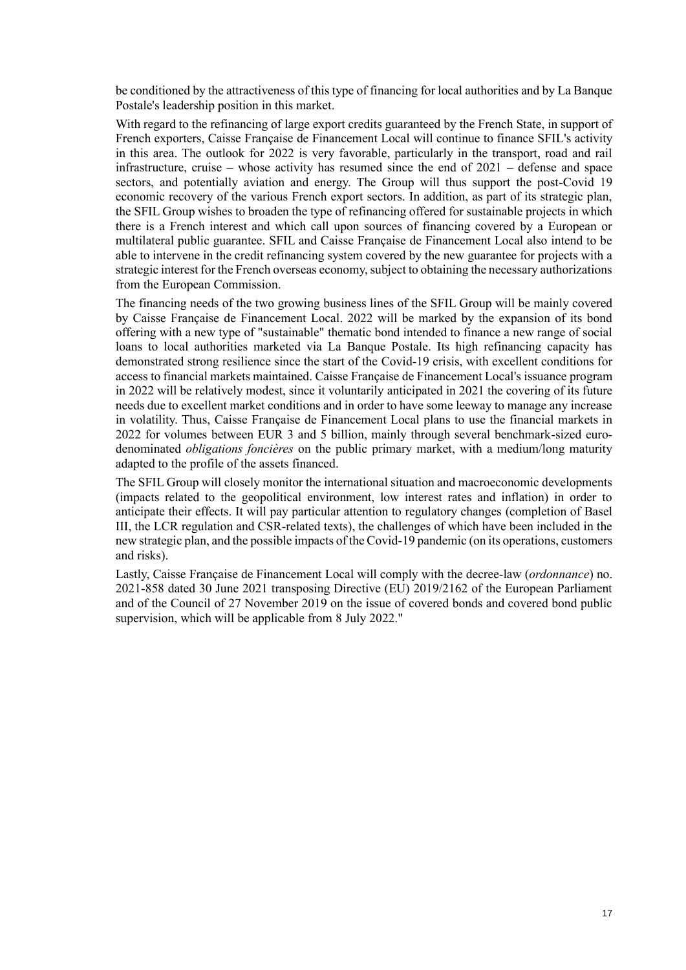be conditioned by the attractiveness of this type of financing for local authorities and by La Banque Postale's leadership position in this market.

With regard to the refinancing of large export credits guaranteed by the French State, in support of French exporters, Caisse Française de Financement Local will continue to finance SFIL's activity in this area. The outlook for 2022 is very favorable, particularly in the transport, road and rail infrastructure, cruise – whose activity has resumed since the end of 2021 – defense and space sectors, and potentially aviation and energy. The Group will thus support the post-Covid 19 economic recovery of the various French export sectors. In addition, as part of its strategic plan, the SFIL Group wishes to broaden the type of refinancing offered for sustainable projects in which there is a French interest and which call upon sources of financing covered by a European or multilateral public guarantee. SFIL and Caisse Française de Financement Local also intend to be able to intervene in the credit refinancing system covered by the new guarantee for projects with a strategic interest for the French overseas economy, subject to obtaining the necessary authorizations from the European Commission.

The financing needs of the two growing business lines of the SFIL Group will be mainly covered by Caisse Française de Financement Local. 2022 will be marked by the expansion of its bond offering with a new type of "sustainable" thematic bond intended to finance a new range of social loans to local authorities marketed via La Banque Postale. Its high refinancing capacity has demonstrated strong resilience since the start of the Covid-19 crisis, with excellent conditions for access to financial markets maintained. Caisse Française de Financement Local's issuance program in 2022 will be relatively modest, since it voluntarily anticipated in 2021 the covering of its future needs due to excellent market conditions and in order to have some leeway to manage any increase in volatility. Thus, Caisse Française de Financement Local plans to use the financial markets in 2022 for volumes between EUR 3 and 5 billion, mainly through several benchmark-sized eurodenominated *obligations foncières* on the public primary market, with a medium/long maturity adapted to the profile of the assets financed.

The SFIL Group will closely monitor the international situation and macroeconomic developments (impacts related to the geopolitical environment, low interest rates and inflation) in order to anticipate their effects. It will pay particular attention to regulatory changes (completion of Basel III, the LCR regulation and CSR-related texts), the challenges of which have been included in the new strategic plan, and the possible impacts of the Covid-19 pandemic (on its operations, customers and risks).

Lastly, Caisse Française de Financement Local will comply with the decree-law (*ordonnance*) no. 2021-858 dated 30 June 2021 transposing Directive (EU) 2019/2162 of the European Parliament and of the Council of 27 November 2019 on the issue of covered bonds and covered bond public supervision, which will be applicable from 8 July 2022."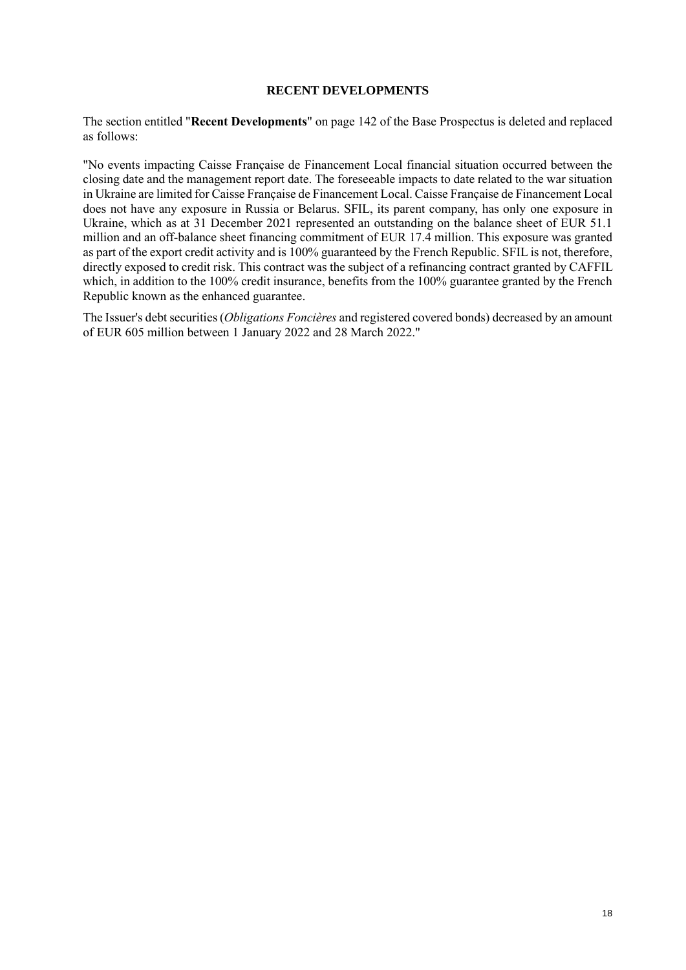#### **RECENT DEVELOPMENTS**

<span id="page-17-0"></span>The section entitled "**Recent Developments**" on page 142 of the Base Prospectus is deleted and replaced as follows:

"No events impacting Caisse Française de Financement Local financial situation occurred between the closing date and the management report date. The foreseeable impacts to date related to the war situation in Ukraine are limited for Caisse Française de Financement Local. Caisse Française de Financement Local does not have any exposure in Russia or Belarus. SFIL, its parent company, has only one exposure in Ukraine, which as at 31 December 2021 represented an outstanding on the balance sheet of EUR 51.1 million and an off-balance sheet financing commitment of EUR 17.4 million. This exposure was granted as part of the export credit activity and is 100% guaranteed by the French Republic. SFIL is not, therefore, directly exposed to credit risk. This contract was the subject of a refinancing contract granted by CAFFIL which, in addition to the 100% credit insurance, benefits from the 100% guarantee granted by the French Republic known as the enhanced guarantee.

The Issuer's debt securities (*Obligations Foncières* and registered covered bonds) decreased by an amount of EUR 605 million between 1 January 2022 and 28 March 2022."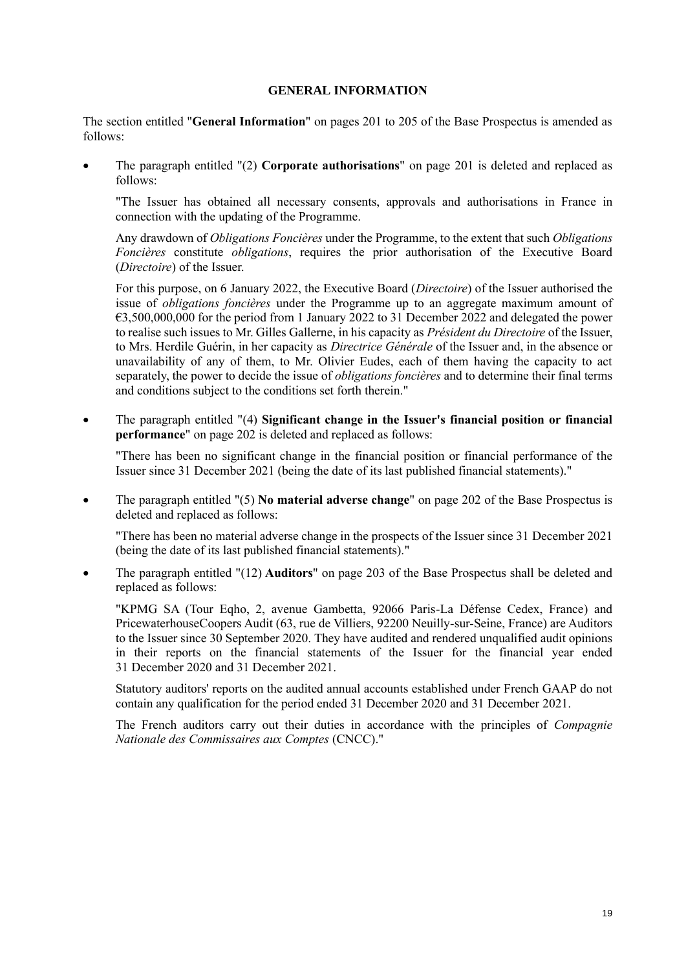#### **GENERAL INFORMATION**

<span id="page-18-0"></span>The section entitled "**General Information**" on pages 201 to 205 of the Base Prospectus is amended as follows:

• The paragraph entitled "(2) **Corporate authorisations**" on page 201 is deleted and replaced as follows:

"The Issuer has obtained all necessary consents, approvals and authorisations in France in connection with the updating of the Programme.

Any drawdown of *Obligations Foncières* under the Programme, to the extent that such *Obligations Foncières* constitute *obligations*, requires the prior authorisation of the Executive Board (*Directoire*) of the Issuer.

For this purpose, on 6 January 2022, the Executive Board (*Directoire*) of the Issuer authorised the issue of *obligations foncières* under the Programme up to an aggregate maximum amount of €3,500,000,000 for the period from 1 January 2022 to 31 December 2022 and delegated the power to realise such issues to Mr. Gilles Gallerne, in his capacity as *Président du Directoire* of the Issuer, to Mrs. Herdile Guérin, in her capacity as *Directrice Générale* of the Issuer and, in the absence or unavailability of any of them, to Mr. Olivier Eudes, each of them having the capacity to act separately, the power to decide the issue of *obligations foncières* and to determine their final terms and conditions subject to the conditions set forth therein."

• The paragraph entitled "(4) **Significant change in the Issuer's financial position or financial performance**" on page 202 is deleted and replaced as follows:

"There has been no significant change in the financial position or financial performance of the Issuer since 31 December 2021 (being the date of its last published financial statements)."

• The paragraph entitled "(5) **No material adverse change**" on page 202 of the Base Prospectus is deleted and replaced as follows:

"There has been no material adverse change in the prospects of the Issuer since 31 December 2021 (being the date of its last published financial statements)."

• The paragraph entitled "(12) **Auditors**" on page 203 of the Base Prospectus shall be deleted and replaced as follows:

"KPMG SA (Tour Eqho, 2, avenue Gambetta, 92066 Paris-La Défense Cedex, France) and PricewaterhouseCoopers Audit (63, rue de Villiers, 92200 Neuilly-sur-Seine, France) are Auditors to the Issuer since 30 September 2020. They have audited and rendered unqualified audit opinions in their reports on the financial statements of the Issuer for the financial year ended 31 December 2020 and 31 December 2021.

Statutory auditors' reports on the audited annual accounts established under French GAAP do not contain any qualification for the period ended 31 December 2020 and 31 December 2021.

The French auditors carry out their duties in accordance with the principles of *Compagnie Nationale des Commissaires aux Comptes* (CNCC)."